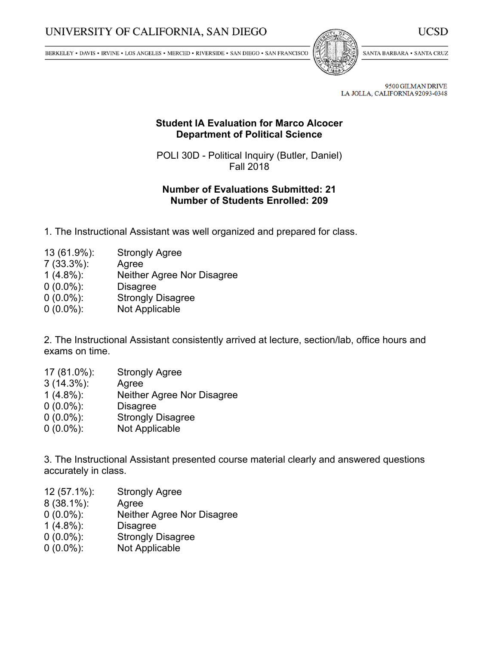BERKELEY • DAVIS • IRVINE • LOS ANGELES • MERCED • RIVERSIDE • SAN DIEGO • SAN FRANCISCO



SANTA BARBARA . SANTA CRUZ

UCSD

9500 GILMAN DRIVE LA JOLLA, CALIFORNIA 92093-0348

## **Student IA Evaluation for Marco Alcocer Department of Political Science**

POLI 30D - Political Inquiry (Butler, Daniel) Fall 2018

## **Number of Evaluations Submitted: 21 Number of Students Enrolled: 209**

- 1. The Instructional Assistant was well organized and prepared for class.
- 13 (61.9%): Strongly Agree
- 7 (33.3%): Agree
- Neither Agree Nor Disagree
- 0 (0.0%): Disagree
- 0 (0.0%): Strongly Disagree
- 0 (0.0%): Not Applicable

2. The Instructional Assistant consistently arrived at lecture, section/lab, office hours and exams on time.

- 17 (81.0%): Strongly Agree
- 3 (14.3%): Agree
- 1 (4.8%): Neither Agree Nor Disagree
- 0 (0.0%): Disagree
- 0 (0.0%): Strongly Disagree
- 0 (0.0%): Not Applicable

3. The Instructional Assistant presented course material clearly and answered questions accurately in class.

- 12 (57.1%): Strongly Agree
- 8 (38.1%): Agree
- 0 (0.0%): Neither Agree Nor Disagree
- 1 (4.8%): Disagree
- 0 (0.0%): Strongly Disagree
- 0 (0.0%): Not Applicable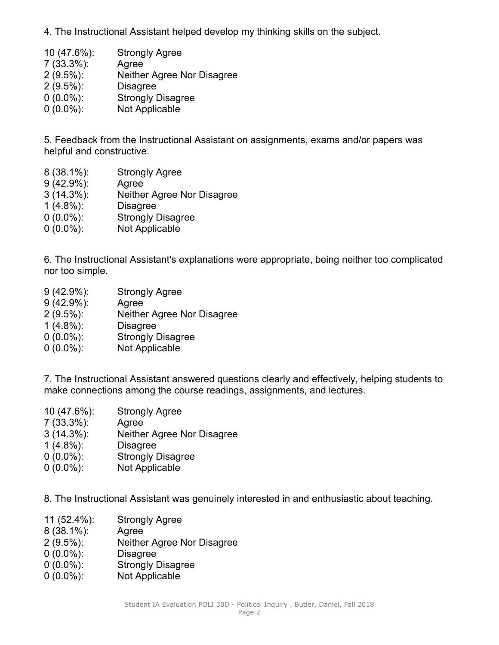4. The Instructional Assistant helped develop my thinking skills on the subject.

| 10 (47.6%):   | <b>Strongly Agree</b>      |
|---------------|----------------------------|
| $7(33.3\%)$ : | Agree                      |
| $2(9.5\%)$ :  | Neither Agree Nor Disagree |
| $2(9.5\%)$ :  | <b>Disagree</b>            |
| $0(0.0\%)$ :  | <b>Strongly Disagree</b>   |
| $0(0.0\%)$ :  | Not Applicable             |
|               |                            |

5. Feedback from the Instructional Assistant on assignments, exams and/or papers was helpful and constructive.

- 8 (38.1%): Strongly Agree
- 9 (42.9%): Agree
- 3 (14.3%): Neither Agree Nor Disagree
- 1 (4.8%): Disagree
- 0 (0.0%): Strongly Disagree
- 0 (0.0%): Not Applicable

6. The Instructional Assistant's explanations were appropriate, being neither too complicated nor too simple.

- 9 (42.9%): Strongly Agree
- 9 (42.9%): Agree
- 2 (9.5%): Neither Agree Nor Disagree
- 1 (4.8%): Disagree
- 0 (0.0%): Strongly Disagree
- 0 (0.0%): Not Applicable

7. The Instructional Assistant answered questions clearly and effectively, helping students to make connections among the course readings, assignments, and lectures.

 (47.6%): Strongly Agree (33.3%): Agree (14.3%): Neither Agree Nor Disagree (4.8%): Disagree (0.0%): Strongly Disagree (0.0%): Not Applicable

8. The Instructional Assistant was genuinely interested in and enthusiastic about teaching.

- 11 (52.4%): Strongly Agree
- 8 (38.1%): Agree
- 2 (9.5%): Neither Agree Nor Disagree
- 0 (0.0%): Disagree
- 0 (0.0%): Strongly Disagree
- 0 (0.0%): Not Applicable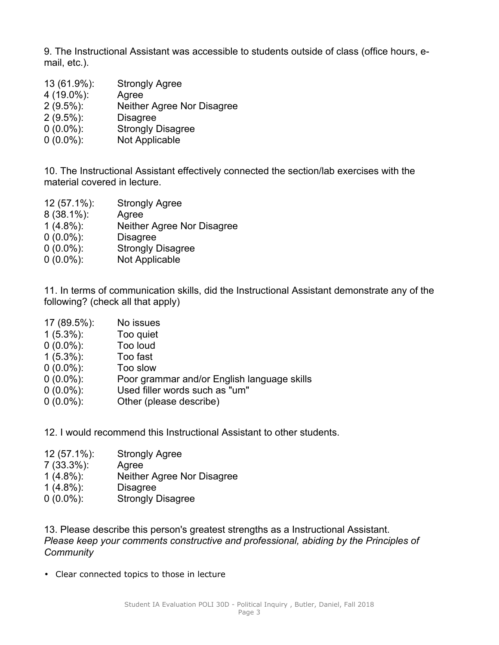9. The Instructional Assistant was accessible to students outside of class (office hours, email, etc.).

 (61.9%): Strongly Agree (19.0%): Agree (9.5%): Neither Agree Nor Disagree (9.5%): Disagree (0.0%): Strongly Disagree (0.0%): Not Applicable

10. The Instructional Assistant effectively connected the section/lab exercises with the material covered in lecture.

 (57.1%): Strongly Agree (38.1%): Agree (4.8%): Neither Agree Nor Disagree (0.0%): Disagree (0.0%): Strongly Disagree (0.0%): Not Applicable

11. In terms of communication skills, did the Instructional Assistant demonstrate any of the following? (check all that apply)

- 17 (89.5%): No issues
- 1 (5.3%): Too quiet
- $0(0.0\%)$ :
- 1 (5.3%): Too fast
- 0 (0.0%): Too slow
- 0 (0.0%): Poor grammar and/or English language skills
- 0 (0.0%): Used filler words such as "um"
- 0 (0.0%): Other (please describe)
- 12. I would recommend this Instructional Assistant to other students.
- 12 (57.1%): Strongly Agree
- 7 (33.3%): Agree
- 1 (4.8%): Neither Agree Nor Disagree
- 1 (4.8%): Disagree
- 0 (0.0%): Strongly Disagree

13. Please describe this person's greatest strengths as <sup>a</sup> Instructional Assistant. *Please keep your comments constructive and professional, abiding by the Principles of Community*

• Clear connected topics to those in lecture